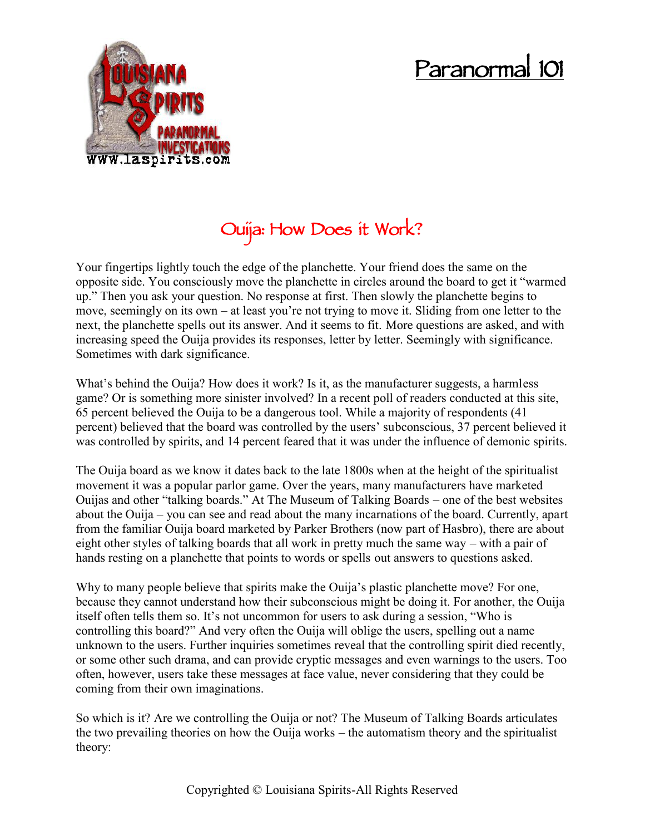## **Paranormal 101**



## **Ouija: How Does it Work?**

Your fingertips lightly touch the edge of the planchette. Your friend does the same on the opposite side. You consciously move the planchette in circles around the board to get it "warmed up." Then you ask your question. No response at first. Then slowly the planchette begins to move, seemingly on its own – at least you're not trying to move it. Sliding from one letter to the next, the planchette spells out its answer. And it seems to fit. More questions are asked, and with increasing speed the Ouija provides its responses, letter by letter. Seemingly with significance. Sometimes with dark significance.

What's behind the Ouija? How does it work? Is it, as the manufacturer suggests, a harmless game? Or is something more sinister involved? In a recent poll of readers conducted at this site, 65 percent believed the Ouija to be a dangerous tool. While a majority of respondents (41 percent) believed that the board was controlled by the users' subconscious, 37 percent believed it was controlled by spirits, and 14 percent feared that it was under the influence of demonic spirits.

The Ouija board as we know it dates back to the late 1800s when at the height of the spiritualist movement it was a popular parlor game. Over the years, many manufacturers have marketed Ouijas and other "talking boards." At The Museum of Talking Boards – one of the best websites about the Ouija – you can see and read about the many incarnations of the board. Currently, apart from the familiar Ouija board marketed by Parker Brothers (now part of Hasbro), there are about eight other styles of talking boards that all work in pretty much the same way – with a pair of hands resting on a planchette that points to words or spells out answers to questions asked.

Why to many people believe that spirits make the Quija's plastic planchette move? For one, because they cannot understand how their subconscious might be doing it. For another, the Ouija itself often tells them so. It's not uncommon for users to ask during a session, "Who is controlling this board?" And very often the Ouija will oblige the users, spelling out a name unknown to the users. Further inquiries sometimes reveal that the controlling spirit died recently, or some other such drama, and can provide cryptic messages and even warnings to the users. Too often, however, users take these messages at face value, never considering that they could be coming from their own imaginations.

So which is it? Are we controlling the Ouija or not? The Museum of Talking Boards articulates the two prevailing theories on how the Ouija works – the automatism theory and the spiritualist theory: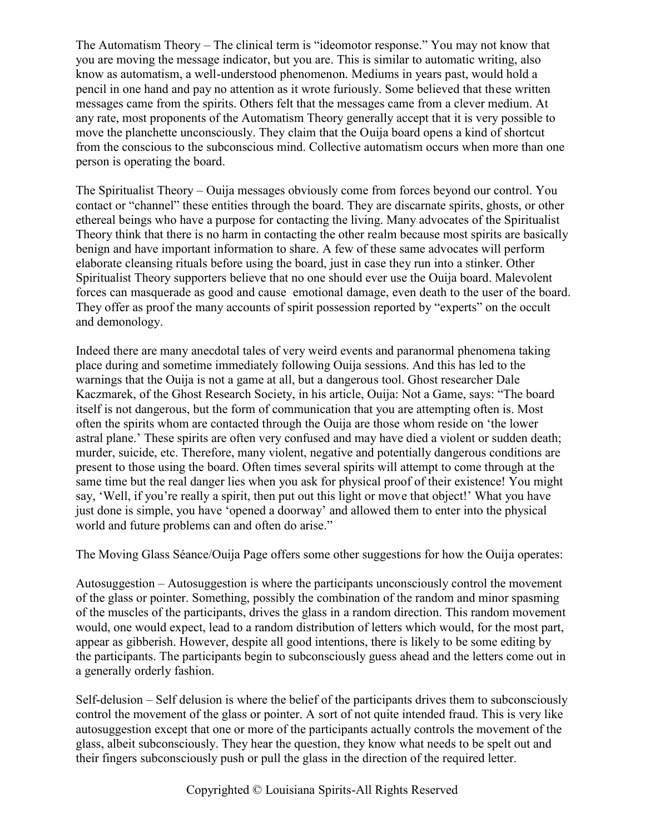The Automatism Theory – The clinical term is "ideomotor response." You may not know that you are moving the message indicator, but you are. This is similar to automatic writing, also know as automatism, a well-understood phenomenon. Mediums in years past, would hold a pencil in one hand and pay no attention as it wrote furiously. Some believed that these written messages came from the spirits. Others felt that the messages came from a clever medium. At any rate, most proponents of the Automatism Theory generally accept that it is very possible to move the planchette unconsciously. They claim that the Ouija board opens a kind of shortcut from the conscious to the subconscious mind. Collective automatism occurs when more than one person is operating the board.

The Spiritualist Theory – Ouija messages obviously come from forces beyond our control. You contact or "channel" these entities through the board. They are discarnate spirits, ghosts, or other ethereal beings who have a purpose for contacting the living. Many advocates of the Spiritualist Theory think that there is no harm in contacting the other realm because most spirits are basically benign and have important information to share. A few of these same advocates will perform elaborate cleansing rituals before using the board, just in case they run into a stinker. Other Spiritualist Theory supporters believe that no one should ever use the Ouija board. Malevolent forces can masquerade as good and cause emotional damage, even death to the user of the board. They offer as proof the many accounts of spirit possession reported by "experts" on the occult and demonology.

Indeed there are many anecdotal tales of very weird events and paranormal phenomena taking place during and sometime immediately following Ouija sessions. And this has led to the warnings that the Ouija is not a game at all, but a dangerous tool. Ghost researcher Dale Kaczmarek, of the Ghost Research Society, in his article, Ouija: Not a Game, says: "The board itself is not dangerous, but the form of communication that you are attempting often is. Most often the spirits whom are contacted through the Ouija are those whom reside on 'the lower astral plane.' These spirits are often very confused and may have died a violent or sudden death; murder, suicide, etc. Therefore, many violent, negative and potentially dangerous conditions are present to those using the board. Often times several spirits will attempt to come through at the same time but the real danger lies when you ask for physical proof of their existence! You might say, 'Well, if you're really a spirit, then put out this light or move that object!' What you have just done is simple, you have 'opened a doorway' and allowed them to enter into the physical world and future problems can and often do arise."

The Moving Glass Séance/Ouija Page offers some other suggestions for how the Ouija operates:

Autosuggestion – Autosuggestion is where the participants unconsciously control the movement of the glass or pointer. Something, possibly the combination of the random and minor spasming of the muscles of the participants, drives the glass in a random direction. This random movement would, one would expect, lead to a random distribution of letters which would, for the most part, appear as gibberish. However, despite all good intentions, there is likely to be some editing by the participants. The participants begin to subconsciously guess ahead and the letters come out in a generally orderly fashion.

Self-delusion – Self delusion is where the belief of the participants drives them to subconsciously control the movement of the glass or pointer. A sort of not quite intended fraud. This is very like autosuggestion except that one or more of the participants actually controls the movement of the glass, albeit subconsciously. They hear the question, they know what needs to be spelt out and their fingers subconsciously push or pull the glass in the direction of the required letter.